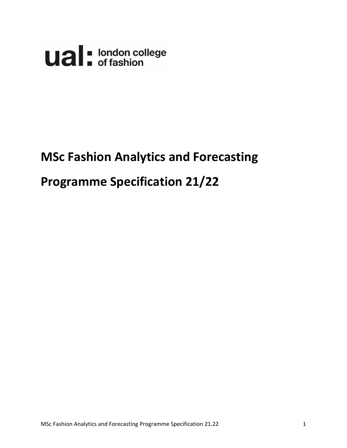

# **MSc Fashion Analytics and Forecasting**

# **Programme Specification 21/22**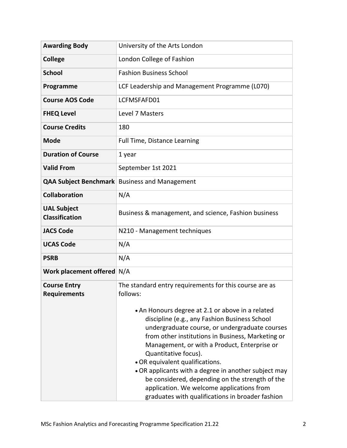| <b>Awarding Body</b>                        | University of the Arts London                                                                                                                                                                                                                                                                                                                                                                                                                                                                                                   |  |  |  |
|---------------------------------------------|---------------------------------------------------------------------------------------------------------------------------------------------------------------------------------------------------------------------------------------------------------------------------------------------------------------------------------------------------------------------------------------------------------------------------------------------------------------------------------------------------------------------------------|--|--|--|
| <b>College</b>                              | London College of Fashion                                                                                                                                                                                                                                                                                                                                                                                                                                                                                                       |  |  |  |
| <b>School</b>                               | <b>Fashion Business School</b>                                                                                                                                                                                                                                                                                                                                                                                                                                                                                                  |  |  |  |
| Programme                                   | LCF Leadership and Management Programme (L070)                                                                                                                                                                                                                                                                                                                                                                                                                                                                                  |  |  |  |
| <b>Course AOS Code</b>                      | LCFMSFAFD01                                                                                                                                                                                                                                                                                                                                                                                                                                                                                                                     |  |  |  |
| <b>FHEQ Level</b>                           | Level 7 Masters                                                                                                                                                                                                                                                                                                                                                                                                                                                                                                                 |  |  |  |
| <b>Course Credits</b>                       | 180                                                                                                                                                                                                                                                                                                                                                                                                                                                                                                                             |  |  |  |
| <b>Mode</b>                                 | <b>Full Time, Distance Learning</b>                                                                                                                                                                                                                                                                                                                                                                                                                                                                                             |  |  |  |
| <b>Duration of Course</b>                   | 1 year                                                                                                                                                                                                                                                                                                                                                                                                                                                                                                                          |  |  |  |
| <b>Valid From</b>                           | September 1st 2021                                                                                                                                                                                                                                                                                                                                                                                                                                                                                                              |  |  |  |
|                                             | <b>QAA Subject Benchmark</b> Business and Management                                                                                                                                                                                                                                                                                                                                                                                                                                                                            |  |  |  |
| <b>Collaboration</b>                        | N/A                                                                                                                                                                                                                                                                                                                                                                                                                                                                                                                             |  |  |  |
| <b>UAL Subject</b><br><b>Classification</b> | Business & management, and science, Fashion business                                                                                                                                                                                                                                                                                                                                                                                                                                                                            |  |  |  |
| <b>JACS Code</b>                            | N210 - Management techniques                                                                                                                                                                                                                                                                                                                                                                                                                                                                                                    |  |  |  |
| <b>UCAS Code</b>                            | N/A                                                                                                                                                                                                                                                                                                                                                                                                                                                                                                                             |  |  |  |
| <b>PSRB</b>                                 | N/A                                                                                                                                                                                                                                                                                                                                                                                                                                                                                                                             |  |  |  |
| Work placement offered N/A                  |                                                                                                                                                                                                                                                                                                                                                                                                                                                                                                                                 |  |  |  |
| <b>Course Entry</b><br><b>Requirements</b>  | The standard entry requirements for this course are as<br>follows:                                                                                                                                                                                                                                                                                                                                                                                                                                                              |  |  |  |
|                                             | • An Honours degree at 2.1 or above in a related<br>discipline (e.g., any Fashion Business School<br>undergraduate course, or undergraduate courses<br>from other institutions in Business, Marketing or<br>Management, or with a Product, Enterprise or<br>Quantitative focus).<br>• OR equivalent qualifications.<br>. OR applicants with a degree in another subject may<br>be considered, depending on the strength of the<br>application. We welcome applications from<br>graduates with qualifications in broader fashion |  |  |  |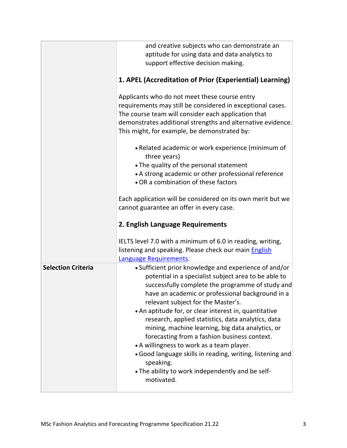|                           | and creative subjects who can demonstrate an<br>aptitude for using data and data analytics to<br>support effective decision making.                                                                                                                                                                                                                                                                                                                                                                                                                                                                                                                                     |  |  |  |  |
|---------------------------|-------------------------------------------------------------------------------------------------------------------------------------------------------------------------------------------------------------------------------------------------------------------------------------------------------------------------------------------------------------------------------------------------------------------------------------------------------------------------------------------------------------------------------------------------------------------------------------------------------------------------------------------------------------------------|--|--|--|--|
|                           | 1. APEL (Accreditation of Prior (Experiential) Learning)                                                                                                                                                                                                                                                                                                                                                                                                                                                                                                                                                                                                                |  |  |  |  |
|                           | Applicants who do not meet these course entry<br>requirements may still be considered in exceptional cases.<br>The course team will consider each application that<br>demonstrates additional strengths and alternative evidence.<br>This might, for example, be demonstrated by:                                                                                                                                                                                                                                                                                                                                                                                       |  |  |  |  |
|                           | • Related academic or work experience (minimum of<br>three years)<br>• The quality of the personal statement<br>• A strong academic or other professional reference<br>• OR a combination of these factors                                                                                                                                                                                                                                                                                                                                                                                                                                                              |  |  |  |  |
|                           | Each application will be considered on its own merit but we<br>cannot guarantee an offer in every case.                                                                                                                                                                                                                                                                                                                                                                                                                                                                                                                                                                 |  |  |  |  |
|                           | 2. English Language Requirements                                                                                                                                                                                                                                                                                                                                                                                                                                                                                                                                                                                                                                        |  |  |  |  |
|                           | IELTS level 7.0 with a minimum of 6.0 in reading, writing,<br>listening and speaking. Please check our main <b>English</b><br>Language Requirements.                                                                                                                                                                                                                                                                                                                                                                                                                                                                                                                    |  |  |  |  |
| <b>Selection Criteria</b> | • Sufficient prior knowledge and experience of and/or<br>potential in a specialist subject area to be able to<br>successfully complete the programme of study and<br>have an academic or professional background in a<br>relevant subject for the Master's.<br>• An aptitude for, or clear interest in, quantitative<br>research, applied statistics, data analytics, data<br>mining, machine learning, big data analytics, or<br>forecasting from a fashion business context.<br>• A willingness to work as a team player.<br>· Good language skills in reading, writing, listening and<br>speaking.<br>. The ability to work independently and be self-<br>motivated. |  |  |  |  |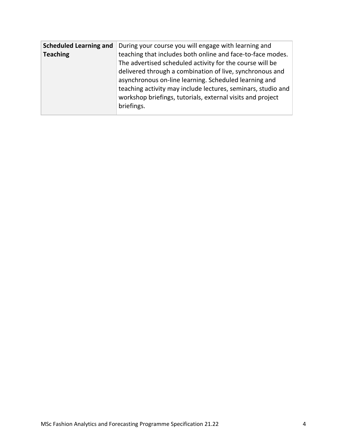| <b>Scheduled Learning and</b><br><b>Teaching</b> | During your course you will engage with learning and<br>teaching that includes both online and face-to-face modes.<br>The advertised scheduled activity for the course will be<br>delivered through a combination of live, synchronous and<br>asynchronous on-line learning. Scheduled learning and<br>teaching activity may include lectures, seminars, studio and<br>workshop briefings, tutorials, external visits and project |
|--------------------------------------------------|-----------------------------------------------------------------------------------------------------------------------------------------------------------------------------------------------------------------------------------------------------------------------------------------------------------------------------------------------------------------------------------------------------------------------------------|
|                                                  | briefings.                                                                                                                                                                                                                                                                                                                                                                                                                        |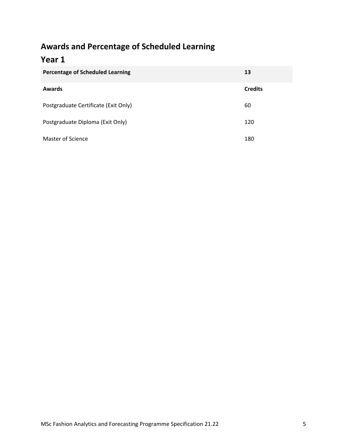# **Awards and Percentage of Scheduled Learning**

# **Year 1**

| <b>Percentage of Scheduled Learning</b> | 13             |
|-----------------------------------------|----------------|
| <b>Awards</b>                           | <b>Credits</b> |
| Postgraduate Certificate (Exit Only)    | 60             |
| Postgraduate Diploma (Exit Only)        | 120            |
| <b>Master of Science</b>                | 180            |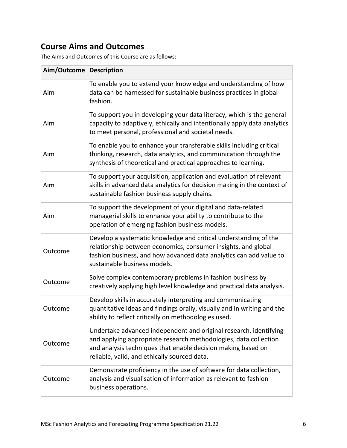# **Course Aims and Outcomes**

The Aims and Outcomes of this Course are as follows:

| Aim/Outcome   Description |                                                                                                                                                                                                                                                       |
|---------------------------|-------------------------------------------------------------------------------------------------------------------------------------------------------------------------------------------------------------------------------------------------------|
| Aim                       | To enable you to extend your knowledge and understanding of how<br>data can be harnessed for sustainable business practices in global<br>fashion.                                                                                                     |
| Aim                       | To support you in developing your data literacy, which is the general<br>capacity to adaptively, ethically and intentionally apply data analytics<br>to meet personal, professional and societal needs.                                               |
| Aim                       | To enable you to enhance your transferable skills including critical<br>thinking, research, data analytics, and communication through the<br>synthesis of theoretical and practical approaches to learning.                                           |
| Aim                       | To support your acquisition, application and evaluation of relevant<br>skills in advanced data analytics for decision making in the context of<br>sustainable fashion business supply chains.                                                         |
| Aim                       | To support the development of your digital and data-related<br>managerial skills to enhance your ability to contribute to the<br>operation of emerging fashion business models.                                                                       |
| Outcome                   | Develop a systematic knowledge and critical understanding of the<br>relationship between economics, consumer insights, and global<br>fashion business, and how advanced data analytics can add value to<br>sustainable business models.               |
| Outcome                   | Solve complex contemporary problems in fashion business by<br>creatively applying high level knowledge and practical data analysis.                                                                                                                   |
| Outcome                   | Develop skills in accurately interpreting and communicating<br>quantitative ideas and findings orally, visually and in writing and the<br>ability to reflect critically on methodologies used.                                                        |
| Outcome                   | Undertake advanced independent and original research, identifying<br>and applying appropriate research methodologies, data collection<br>and analysis techniques that enable decision making based on<br>reliable, valid, and ethically sourced data. |
| Outcome                   | Demonstrate proficiency in the use of software for data collection,<br>analysis and visualisation of information as relevant to fashion<br>business operations.                                                                                       |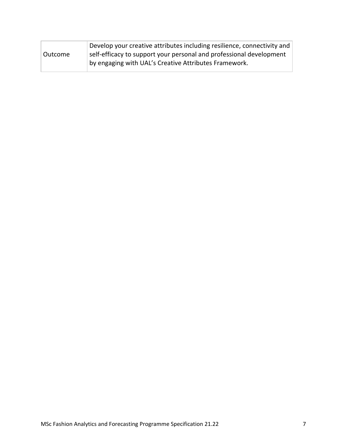| Develop your creative attributes including resilience, connectivity and |
|-------------------------------------------------------------------------|
| self-efficacy to support your personal and professional development     |
| by engaging with UAL's Creative Attributes Framework.                   |
|                                                                         |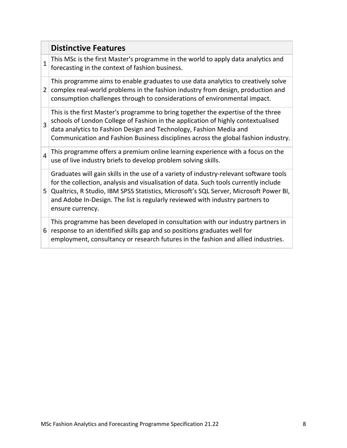|                | <b>Distinctive Features</b>                                                                                                                                                                                                                                                                                                                                                  |
|----------------|------------------------------------------------------------------------------------------------------------------------------------------------------------------------------------------------------------------------------------------------------------------------------------------------------------------------------------------------------------------------------|
| $\mathbf{1}$   | This MSc is the first Master's programme in the world to apply data analytics and<br>forecasting in the context of fashion business.                                                                                                                                                                                                                                         |
| 2              | This programme aims to enable graduates to use data analytics to creatively solve<br>complex real-world problems in the fashion industry from design, production and<br>consumption challenges through to considerations of environmental impact.                                                                                                                            |
| $\overline{3}$ | This is the first Master's programme to bring together the expertise of the three<br>schools of London College of Fashion in the application of highly contextualised<br>data analytics to Fashion Design and Technology, Fashion Media and<br>Communication and Fashion Business disciplines across the global fashion industry.                                            |
| $\overline{4}$ | This programme offers a premium online learning experience with a focus on the<br>use of live industry briefs to develop problem solving skills.                                                                                                                                                                                                                             |
| 5              | Graduates will gain skills in the use of a variety of industry-relevant software tools<br>for the collection, analysis and visualisation of data. Such tools currently include<br>Qualtrics, R Studio, IBM SPSS Statistics, Microsoft's SQL Server, Microsoft Power BI,<br>and Adobe In-Design. The list is regularly reviewed with industry partners to<br>ensure currency. |
| 6              | This programme has been developed in consultation with our industry partners in<br>response to an identified skills gap and so positions graduates well for<br>employment, consultancy or research futures in the fashion and allied industries.                                                                                                                             |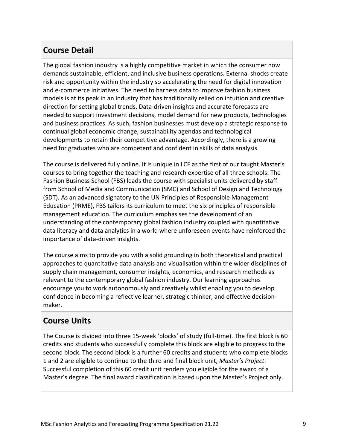## **Course Detail**

The global fashion industry is a highly competitive market in which the consumer now demands sustainable, efficient, and inclusive business operations. External shocks create risk and opportunity within the industry so accelerating the need for digital innovation and e-commerce initiatives. The need to harness data to improve fashion business models is at its peak in an industry that has traditionally relied on intuition and creative direction for setting global trends. Data-driven insights and accurate forecasts are needed to support investment decisions, model demand for new products, technologies and business practices. As such, fashion businesses must develop a strategic response to continual global economic change, sustainability agendas and technological developments to retain their competitive advantage. Accordingly, there is a growing need for graduates who are competent and confident in skills of data analysis.

The course is delivered fully online. It is unique in LCF as the first of our taught Master's courses to bring together the teaching and research expertise of all three schools. The Fashion Business School (FBS) leads the course with specialist units delivered by staff from School of Media and Communication (SMC) and School of Design and Technology (SDT). As an advanced signatory to the UN Principles of Responsible Management Education (PRME), FBS tailors its curriculum to meet the six principles of responsible management education. The curriculum emphasises the development of an understanding of the contemporary global fashion industry coupled with quantitative data literacy and data analytics in a world where unforeseen events have reinforced the importance of data-driven insights.

The course aims to provide you with a solid grounding in both theoretical and practical approaches to quantitative data analysis and visualisation within the wider disciplines of supply chain management, consumer insights, economics, and research methods as relevant to the contemporary global fashion industry. Our learning approaches encourage you to work autonomously and creatively whilst enabling you to develop confidence in becoming a reflective learner, strategic thinker, and effective decisionmaker.

### **Course Units**

The Course is divided into three 15-week 'blocks' of study (full-time). The first block is 60 credits and students who successfully complete this block are eligible to progress to the second block. The second block is a further 60 credits and students who complete blocks 1 and 2 are eligible to continue to the third and final block unit, *Master's Project*. Successful completion of this 60 credit unit renders you eligible for the award of a Master's degree. The final award classification is based upon the Master's Project only.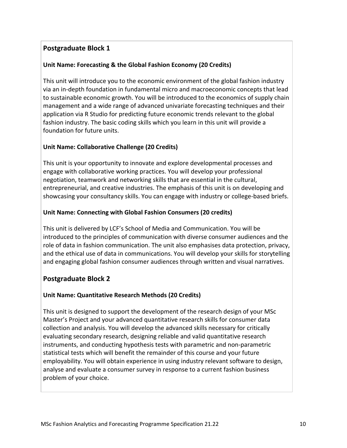#### **Postgraduate Block 1**

#### **Unit Name: Forecasting & the Global Fashion Economy (20 Credits)**

This unit will introduce you to the economic environment of the global fashion industry via an in-depth foundation in fundamental micro and macroeconomic concepts that lead to sustainable economic growth. You will be introduced to the economics of supply chain management and a wide range of advanced univariate forecasting techniques and their application via R Studio for predicting future economic trends relevant to the global fashion industry. The basic coding skills which you learn in this unit will provide a foundation for future units.

#### **Unit Name: Collaborative Challenge (20 Credits)**

This unit is your opportunity to innovate and explore developmental processes and engage with collaborative working practices. You will develop your professional negotiation, teamwork and networking skills that are essential in the cultural, entrepreneurial, and creative industries. The emphasis of this unit is on developing and showcasing your consultancy skills. You can engage with industry or college-based briefs.

#### **Unit Name: Connecting with Global Fashion Consumers (20 credits)**

This unit is delivered by LCF's School of Media and Communication. You will be introduced to the principles of communication with diverse consumer audiences and the role of data in fashion communication. The unit also emphasises data protection, privacy, and the ethical use of data in communications. You will develop your skills for storytelling and engaging global fashion consumer audiences through written and visual narratives.

#### **Postgraduate Block 2**

#### **Unit Name: Quantitative Research Methods (20 Credits)**

This unit is designed to support the development of the research design of your MSc Master's Project and your advanced quantitative research skills for consumer data collection and analysis. You will develop the advanced skills necessary for critically evaluating secondary research, designing reliable and valid quantitative research instruments, and conducting hypothesis tests with parametric and non-parametric statistical tests which will benefit the remainder of this course and your future employability. You will obtain experience in using industry relevant software to design, analyse and evaluate a consumer survey in response to a current fashion business problem of your choice.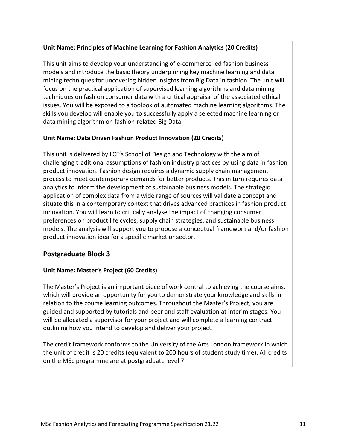#### **Unit Name: Principles of Machine Learning for Fashion Analytics (20 Credits)**

This unit aims to develop your understanding of e-commerce led fashion business models and introduce the basic theory underpinning key machine learning and data mining techniques for uncovering hidden insights from Big Data in fashion. The unit will focus on the practical application of supervised learning algorithms and data mining techniques on fashion consumer data with a critical appraisal of the associated ethical issues. You will be exposed to a toolbox of automated machine learning algorithms. The skills you develop will enable you to successfully apply a selected machine learning or data mining algorithm on fashion-related Big Data.

#### **Unit Name: Data Driven Fashion Product Innovation (20 Credits)**

This unit is delivered by LCF's School of Design and Technology with the aim of challenging traditional assumptions of fashion industry practices by using data in fashion product innovation. Fashion design requires a dynamic supply chain management process to meet contemporary demands for better products. This in turn requires data analytics to inform the development of sustainable business models. The strategic application of complex data from a wide range of sources will validate a concept and situate this in a contemporary context that drives advanced practices in fashion product innovation. You will learn to critically analyse the impact of changing consumer preferences on product life cycles, supply chain strategies, and sustainable business models. The analysis will support you to propose a conceptual framework and/or fashion product innovation idea for a specific market or sector.

#### **Postgraduate Block 3**

#### **Unit Name: Master's Project (60 Credits)**

The Master's Project is an important piece of work central to achieving the course aims, which will provide an opportunity for you to demonstrate your knowledge and skills in relation to the course learning outcomes. Throughout the Master's Project, you are guided and supported by tutorials and peer and staff evaluation at interim stages. You will be allocated a supervisor for your project and will complete a learning contract outlining how you intend to develop and deliver your project.

The credit framework conforms to the University of the Arts London framework in which the unit of credit is 20 credits (equivalent to 200 hours of student study time). All credits on the MSc programme are at postgraduate level 7.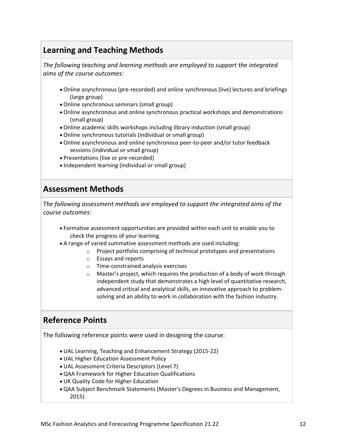# **Learning and Teaching Methods**

*The following teaching and learning methods are employed to support the integrated aims of the course outcomes:*

- Online asynchronous (pre-recorded) and online synchronous (live) lectures and briefings (large group)
- Online synchronous seminars (small group)
- Online asynchronous and online synchronous practical workshops and demonstrations (small group)
- Online academic skills workshops including library induction (small group)
- Online synchronous tutorials (individual or small group)
- Online asynchronous and online synchronous peer-to-peer and/or tutor feedback sessions (individual or small group)
- Presentations (live or pre-recorded)
- Independent learning (individual or small group)

### **Assessment Methods**

*The following assessment methods are employed to support the integrated aims of the course outcomes:*

- Formative assessment opportunities are provided within each unit to enable you to check the progress of your learning.
- A range of varied summative assessment methods are used including:
	- o Project portfolio comprising of technical prototypes and presentations
	- o Essays and reports
	- o Time-constrained analysis exercises
	- o Master's project, which requires the production of a body of work through independent study that demonstrates a high level of quantitative research, advanced critical and analytical skills, an innovative approach to problemsolving and an ability to work in collaboration with the fashion industry.

# **Reference Points**

The following reference points were used in designing the course:

- UAL Learning, Teaching and Enhancement Strategy (2015-22)
- UAL Higher Education Assessment Policy
- UAL Assessment Criteria Descriptors (Level 7)
- QAA Framework for Higher Education Qualifications
- UK Quality Code for Higher Education
- QAA Subject Benchmark Statements (Master's Degrees in Business and Management, 2015)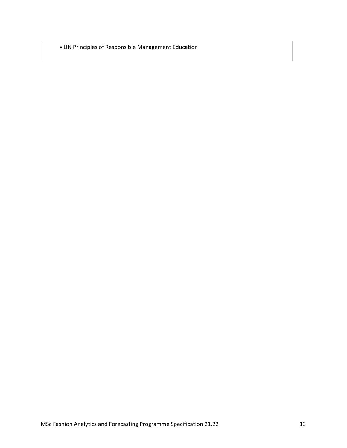UN Principles of Responsible Management Education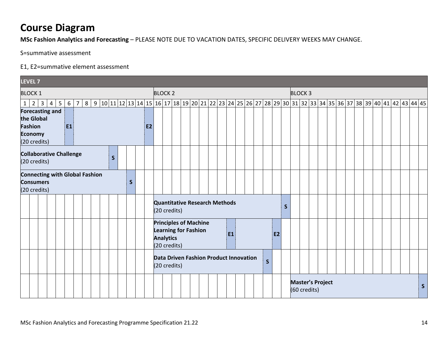# **Course Diagram**

**MSc Fashion Analytics and Forecasting** – PLEASE NOTE DUE TO VACATION DATES, SPECIFIC DELIVERY WEEKS MAY CHANGE.

S=summative assessment

#### E1, E2=summative element assessment

| <b>LEVEL 7</b>                                                                                      |              |                                                                                                 |                                               |                                                                                                                 |              |
|-----------------------------------------------------------------------------------------------------|--------------|-------------------------------------------------------------------------------------------------|-----------------------------------------------|-----------------------------------------------------------------------------------------------------------------|--------------|
| <b>BLOCK 1</b>                                                                                      |              | <b>BLOCK 2</b>                                                                                  |                                               | <b>BLOCK3</b>                                                                                                   |              |
| $1 \mid 2 \mid 3 \mid$<br>5 <sup>5</sup><br>$6 \mid 7$<br>$\overline{4}$                            |              |                                                                                                 |                                               | 8 9 10 11 12 13 14 15 16 17 18 19 20 21 22 23 24 25 26 27 28 29 30 31 32 33 34 35 36 37 38 39 40 41 42 43 44 45 |              |
| <b>Forecasting and</b><br>the Global<br>Fashion<br>E <sub>1</sub><br><b>Economy</b><br>(20 credits) | <b>E2</b>    |                                                                                                 |                                               |                                                                                                                 |              |
| <b>Collaborative Challenge</b><br>$\mathsf{S}$<br>(20 credits)                                      |              |                                                                                                 |                                               |                                                                                                                 |              |
| <b>Connecting with Global Fashion</b><br><b>Consumers</b><br>(20 credits)                           | $\mathsf{S}$ | <b>Quantitative Research Methods</b><br>(20 credits)                                            |                                               | $\mathsf{S}$                                                                                                    |              |
|                                                                                                     |              | <b>Principles of Machine</b><br><b>Learning for Fashion</b><br><b>Analytics</b><br>(20 credits) | E1                                            | <b>E2</b>                                                                                                       |              |
|                                                                                                     |              | (20 credits)                                                                                    | <b>Data Driven Fashion Product Innovation</b> | $\mathsf{s}$                                                                                                    |              |
|                                                                                                     |              |                                                                                                 |                                               | <b>Master's Project</b><br>(60 credits)                                                                         | <sub>S</sub> |